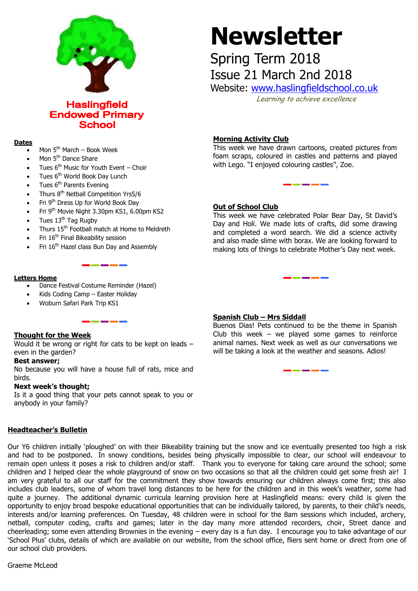

**Haslingfield Endowed Primary School** 

### **Dates**

- Mon  $5<sup>th</sup>$  March Book Week
- Mon 5<sup>th</sup> Dance Share
- Tues  $6<sup>th</sup>$  Music for Youth Event Choir
- Tues 6<sup>th</sup> World Book Day Lunch
- Tues 6<sup>th</sup> Parents Evening
- Thurs 8<sup>th</sup> Netball Competition Yrs5/6
- Fri 9th Dress Up for World Book Day
- Fri 9th Movie Night 3.30pm KS1, 6.00pm KS2
- Tues 13<sup>th</sup> Tag Rugby
- Thurs 15<sup>th</sup> Football match at Home to Meldreth
- Fri 16<sup>th</sup> Final Bikeability session
- Fri 16<sup>th</sup> Hazel class Bun Day and Assembly

### **Letters Home**

- Dance Festival Costume Reminder (Hazel)
- Kids Coding Camp Easter Holiday
- Woburn Safari Park Trip KS1

## **Thought for the Week**

Would it be wrong or right for cats to be kept on leads – even in the garden?

### **Best answer;**

No because you will have a house full of rats, mice and birds.

### **Next week's thought;**

Is it a good thing that your pets cannot speak to you or anybody in your family?

### **Headteacher's Bulletin**

Our Y6 children initially 'ploughed' on with their Bikeability training but the snow and ice eventually presented too high a risk and had to be postponed. In snowy conditions, besides being physically impossible to clear, our school will endeavour to remain open unless it poses a risk to children and/or staff. Thank you to everyone for taking care around the school; some children and I helped clear the whole playground of snow on two occasions so that all the children could get some fresh air! I am very grateful to all our staff for the commitment they show towards ensuring our children always come first; this also includes club leaders, some of whom travel long distances to be here for the children and in this week's weather, some had quite a journey. The additional dynamic curricula learning provision here at Haslingfield means: every child is given the opportunity to enjoy broad bespoke educational opportunities that can be individually tailored, by parents, to their child's needs, interests and/or learning preferences. On Tuesday, 48 children were in school for the 8am sessions which included, archery, netball, computer coding, crafts and games; later in the day many more attended recorders, choir, Street dance and cheerleading; some even attending Brownies in the evening – every day is a fun day. I encourage you to take advantage of our 'School Plus' clubs, details of which are available on our website, from the school office, fliers sent home or direct from one of our school club providers.

Graeme McLeod

# **Newsletter**

# Spring Term 2018

Issue 21 March 2nd 2018

Website: [www.haslingfieldschool.co.uk](http://www.haslingfieldschool.co.uk/) Learning to achieve excellence

### **Morning Activity Club**

This week we have drawn cartoons, created pictures from foam scraps, coloured in castles and patterns and played with Lego. "I enjoyed colouring castles", Zoe.

### **Out of School Club**

This week we have celebrated Polar Bear Day, St David's Day and Holi. We made lots of crafts, did some drawing and completed a word search. We did a science activity and also made slime with borax. We are looking forward to making lots of things to celebrate Mother's Day next week.

### **Spanish Club – Mrs Siddall**

Buenos Dias! Pets continued to be the theme in Spanish animal names. Next week as well as our conversations we Club this week – we played some games to reinforce will be taking a look at the weather and seasons. Adios!